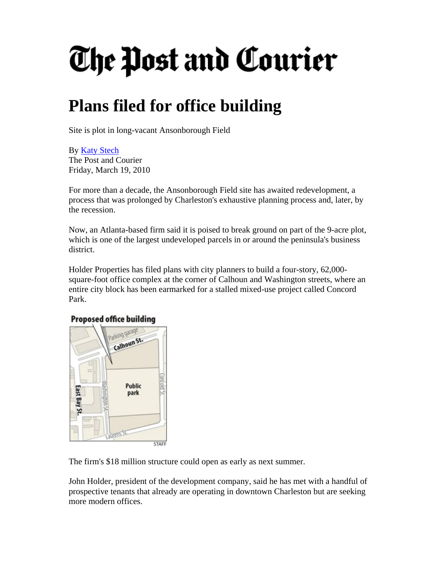## The Post and Courier

## **Plans filed for office building**

Site is plot in long-vacant Ansonborough Field

By [Katy Stech](http://www.postandcourier.com/staff/katy_stech/)  The Post and Courier Friday, March 19, 2010

For more than a decade, the Ansonborough Field site has awaited redevelopment, a process that was prolonged by Charleston's exhaustive planning process and, later, by the recession.

Now, an Atlanta-based firm said it is poised to break ground on part of the 9-acre plot, which is one of the largest undeveloped parcels in or around the peninsula's business district.

Holder Properties has filed plans with city planners to build a four-story, 62,000 square-foot office complex at the corner of Calhoun and Washington streets, where an entire city block has been earmarked for a stalled mixed-use project called Concord Park.

## **Proposed office building**



The firm's \$18 million structure could open as early as next summer.

John Holder, president of the development company, said he has met with a handful of prospective tenants that already are operating in downtown Charleston but are seeking more modern offices.